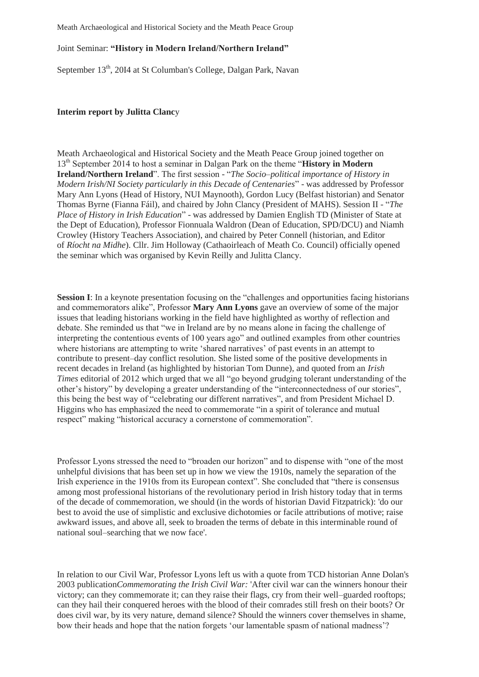## Meath Archaeological and Historical Society and the Meath Peace Group

## Joint Seminar: **"History in Modern Ireland/Northern Ireland"**

September 13<sup>th</sup>, 20I4 at St Columban's College, Dalgan Park, Navan

## **Interim report by Julitta Clanc**y

Meath Archaeological and Historical Society and the Meath Peace Group joined together on 13th September 2014 to host a seminar in Dalgan Park on the theme "**History in Modern Ireland/Northern Ireland**". The first session - "*The Socio–political importance of History in Modern Irish/NI Society particularly in this Decade of Centenaries*" - was addressed by Professor Mary Ann Lyons (Head of History, NUI Maynooth), Gordon Lucy (Belfast historian) and Senator Thomas Byrne (Fianna Fáil), and chaired by John Clancy (President of MAHS). Session II - "*The Place of History in Irish Education*" - was addressed by Damien English TD (Minister of State at the Dept of Education), Professor Fionnuala Waldron (Dean of Education, SPD/DCU) and Niamh Crowley (History Teachers Association), and chaired by Peter Connell (historian, and Editor of *Ríocht na Midhe*). Cllr. Jim Holloway (Cathaoirleach of Meath Co. Council) officially opened the seminar which was organised by Kevin Reilly and Julitta Clancy.

**Session I**: In a keynote presentation focusing on the "challenges and opportunities facing historians" and commemorators alike", Professor **Mary Ann Lyons** gave an overview of some of the major issues that leading historians working in the field have highlighted as worthy of reflection and debate. She reminded us that "we in Ireland are by no means alone in facing the challenge of interpreting the contentious events of 100 years ago" and outlined examples from other countries where historians are attempting to write 'shared narratives' of past events in an attempt to contribute to present–day conflict resolution. She listed some of the positive developments in recent decades in Ireland (as highlighted by historian Tom Dunne), and quoted from an *Irish Times* editorial of 2012 which urged that we all "go beyond grudging tolerant understanding of the other's history" by developing a greater understanding of the "interconnectedness of our stories", this being the best way of "celebrating our different narratives", and from President Michael D. Higgins who has emphasized the need to commemorate "in a spirit of tolerance and mutual respect" making "historical accuracy a cornerstone of commemoration".

Professor Lyons stressed the need to "broaden our horizon" and to dispense with "one of the most unhelpful divisions that has been set up in how we view the 1910s, namely the separation of the Irish experience in the 1910s from its European context". She concluded that "there is consensus among most professional historians of the revolutionary period in Irish history today that in terms of the decade of commemoration, we should (in the words of historian David Fitzpatrick): 'do our best to avoid the use of simplistic and exclusive dichotomies or facile attributions of motive; raise awkward issues, and above all, seek to broaden the terms of debate in this interminable round of national soul–searching that we now face'.

In relation to our Civil War, Professor Lyons left us with a quote from TCD historian Anne Dolan's 2003 publication*Commemorating the Irish Civil War:* 'After civil war can the winners honour their victory; can they commemorate it; can they raise their flags, cry from their well–guarded rooftops; can they hail their conquered heroes with the blood of their comrades still fresh on their boots? Or does civil war, by its very nature, demand silence? Should the winners cover themselves in shame, bow their heads and hope that the nation forgets 'our lamentable spasm of national madness'?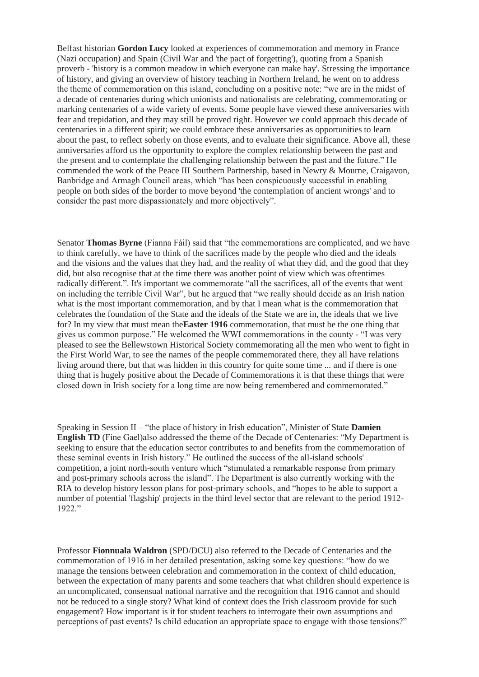Belfast historian **Gordon Lucy** looked at experiences of commemoration and memory in France (Nazi occupation) and Spain (Civil War and 'the pact of forgetting'), quoting from a Spanish proverb - 'history is a common meadow in which everyone can make hay'. Stressing the importance of history, and giving an overview of history teaching in Northern Ireland, he went on to address the theme of commemoration on this island, concluding on a positive note: "we are in the midst of a decade of centenaries during which unionists and nationalists are celebrating, commemorating or marking centenaries of a wide variety of events. Some people have viewed these anniversaries with fear and trepidation, and they may still be proved right. However we could approach this decade of centenaries in a different spirit; we could embrace these anniversaries as opportunities to learn about the past, to reflect soberly on those events, and to evaluate their significance. Above all, these anniversaries afford us the opportunity to explore the complex relationship between the past and the present and to contemplate the challenging relationship between the past and the future." He commended the work of the Peace III Southern Partnership, based in Newry & Mourne, Craigavon, Banbridge and Armagh Council areas, which "has been conspicuously successful in enabling people on both sides of the border to move beyond 'the contemplation of ancient wrongs' and to consider the past more dispassionately and more objectively".

Senator **Thomas Byrne** (Fianna Fáil) said that "the commemorations are complicated, and we have to think carefully, we have to think of the sacrifices made by the people who died and the ideals and the visions and the values that they had, and the reality of what they did, and the good that they did, but also recognise that at the time there was another point of view which was oftentimes radically different.". It's important we commemorate "all the sacrifices, all of the events that went on including the terrible Civil War", but he argued that "we really should decide as an Irish nation what is the most important commemoration, and by that I mean what is the commemoration that celebrates the foundation of the State and the ideals of the State we are in, the ideals that we live for? In my view that must mean the**Easter 1916** commemoration, that must be the one thing that gives us common purpose." He welcomed the WWI commemorations in the county - "I was very pleased to see the Bellewstown Historical Society commemorating all the men who went to fight in the First World War, to see the names of the people commemorated there, they all have relations living around there, but that was hidden in this country for quite some time ... and if there is one thing that is hugely positive about the Decade of Commemorations it is that these things that were closed down in Irish society for a long time are now being remembered and commemorated."

Speaking in Session II – "the place of history in Irish education", Minister of State **Damien English TD** (Fine Gael)also addressed the theme of the Decade of Centenaries: "My Department is seeking to ensure that the education sector contributes to and benefits from the commemoration of these seminal events in Irish history." He outlined the success of the all-island schools' competition, a joint north-south venture which "stimulated a remarkable response from primary and post-primary schools across the island". The Department is also currently working with the RIA to develop history lesson plans for post-primary schools, and "hopes to be able to support a number of potential 'flagship' projects in the third level sector that are relevant to the period 1912- 1922."

Professor **Fionnuala Waldron** (SPD/DCU) also referred to the Decade of Centenaries and the commemoration of 1916 in her detailed presentation, asking some key questions: "how do we manage the tensions between celebration and commemoration in the context of child education, between the expectation of many parents and some teachers that what children should experience is an uncomplicated, consensual national narrative and the recognition that 1916 cannot and should not be reduced to a single story? What kind of context does the Irish classroom provide for such engagement? How important is it for student teachers to interrogate their own assumptions and perceptions of past events? Is child education an appropriate space to engage with those tensions?"